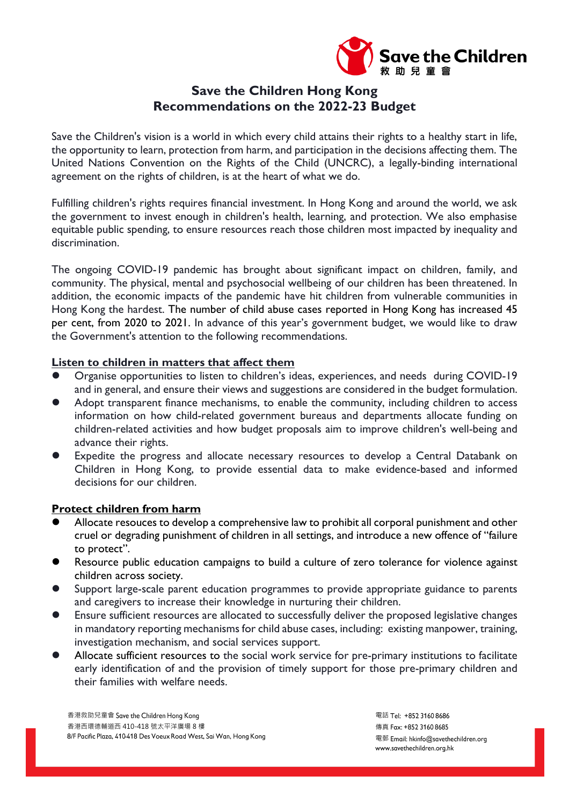

## **Save the Children Hong Kong Recommendations on the 2022-23 Budget**

Save the Children's vision is a world in which every child attains their rights to a healthy start in life, the opportunity to learn, protection from harm, and participation in the decisions affecting them. The United Nations Convention on the Rights of the Child (UNCRC), a legally-binding international agreement on the rights of children, is at the heart of what we do.

Fulfilling children's rights requires financial investment. In Hong Kong and around the world, we ask the government to invest enough in children's health, learning, and protection. We also emphasise equitable public spending, to ensure resources reach those children most impacted by inequality and discrimination.

The ongoing COVID-19 pandemic has brought about significant impact on children, family, and community. The physical, mental and psychosocial wellbeing of our children has been threatened. In addition, the economic impacts of the pandemic have hit children from vulnerable communities in Hong Kong the hardest. The number of child abuse cases reported in Hong Kong has increased 45 per cent, from 2020 to 2021. In advance of this year's government budget, we would like to draw the Government's attention to the following recommendations.

## **Listen to children in matters that affect them**

- Organise opportunities to listen to children's ideas, experiences, and needs during COVID-19 and in general, and ensure their views and suggestions are considered in the budget formulation.
- Adopt transparent finance mechanisms, to enable the community, including children to access information on how child-related government bureaus and departments allocate funding on children-related activities and how budget proposals aim to improve children's well-being and advance their rights.
- Expedite the progress and allocate necessary resources to develop a Central Databank on Children in Hong Kong, to provide essential data to make evidence-based and informed decisions for our children.

## **Protect children from harm**

- Allocate resouces to develop a comprehensive law to prohibit all corporal punishment and other cruel or degrading punishment of children in all settings, and introduce a new offence of "failure to protect".
- Resource public education campaigns to build a culture of zero tolerance for violence against children across society.
- Support large-scale parent education programmes to provide appropriate guidance to parents and caregivers to increase their knowledge in nurturing their children.
- Ensure sufficient resources are allocated to successfully deliver the proposed legislative changes in mandatory reporting mechanisms for child abuse cases, including: existing manpower, training, investigation mechanism, and social services support.
- Allocate sufficient resources to the social work service for pre-primary institutions to facilitate early identification of and the provision of timely support for those pre-primary children and their families with welfare needs.

香港救助兒童會 香港西環德輔道西 410-418 號太平洋廣場 8 樓 8/F Pacific Plaza, 410-418 Des Voeux Road West, Sai Wan, Hong Kong 電話 Tel: +852 3160 8686 傳真 Fax: +852 3160 8685 電郵 Email: hkinfo@savethechildren.org www.savethechildren.org.hk